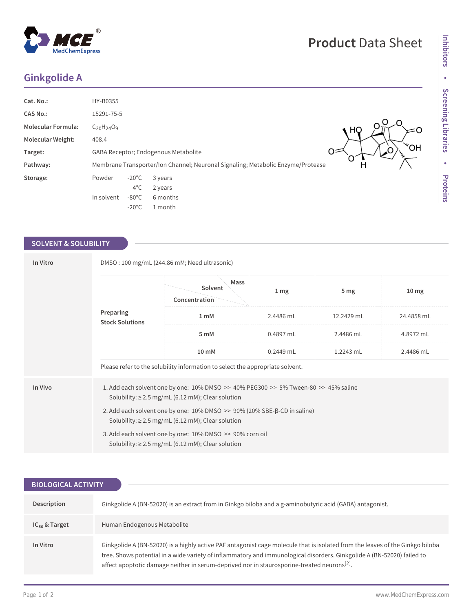## **Ginkgolide A**

| Cat. No.:                 | HY-B0355                                                                             |                 |          |  |  |
|---------------------------|--------------------------------------------------------------------------------------|-----------------|----------|--|--|
| <b>CAS No.:</b>           | 15291-75-5                                                                           |                 |          |  |  |
| <b>Molecular Formula:</b> | $C_{20}H_{24}O_9$<br>HQ,                                                             |                 |          |  |  |
| <b>Molecular Weight:</b>  | 408.4                                                                                |                 |          |  |  |
| Target:                   | <b>HO<sup>w</sup></b><br>Ο=<br>GABA Receptor; Endogenous Metabolite                  |                 |          |  |  |
| Pathway:                  | Membrane Transporter/Ion Channel; Neuronal Signaling; Metabolic Enzyme/Protease<br>н |                 |          |  |  |
| Storage:                  | Powder                                                                               | $-20^{\circ}$ C | 3 years  |  |  |
|                           |                                                                                      | $4^{\circ}$ C   | 2 years  |  |  |
|                           | In solvent                                                                           | $-80^{\circ}$ C | 6 months |  |  |
|                           |                                                                                      | $-20^{\circ}$ C | 1 month  |  |  |

## **SOLVENT & SOLUBILITY**

| In Vitro | DMSO: 100 mg/mL (244.86 mM; Need ultrasonic)                                                                                                     |                                                                               |                 |                 |                  |  |  |  |
|----------|--------------------------------------------------------------------------------------------------------------------------------------------------|-------------------------------------------------------------------------------|-----------------|-----------------|------------------|--|--|--|
|          |                                                                                                                                                  | Mass<br>Solvent<br>Concentration                                              | 1 <sub>mg</sub> | 5 <sub>mg</sub> | 10 <sub>mg</sub> |  |  |  |
|          | Preparing<br><b>Stock Solutions</b>                                                                                                              | $1 \text{ mM}$                                                                | 2.4486 mL       | 12.2429 mL      | 24.4858 mL       |  |  |  |
|          |                                                                                                                                                  | 5 mM                                                                          | 0.4897 mL       | 2.4486 mL       | 4.8972 mL        |  |  |  |
|          |                                                                                                                                                  | $10 \text{ mM}$                                                               | $0.2449$ mL     | $1.2243$ mL     | 2.4486 mL        |  |  |  |
|          |                                                                                                                                                  | Please refer to the solubility information to select the appropriate solvent. |                 |                 |                  |  |  |  |
| In Vivo  | 1. Add each solvent one by one: 10% DMSO >> 40% PEG300 >> 5% Tween-80 >> 45% saline<br>Solubility: $\geq$ 2.5 mg/mL (6.12 mM); Clear solution    |                                                                               |                 |                 |                  |  |  |  |
|          | 2. Add each solvent one by one: $10\%$ DMSO $\gg$ 90% (20% SBE- $\beta$ -CD in saline)<br>Solubility: $\geq 2.5$ mg/mL (6.12 mM); Clear solution |                                                                               |                 |                 |                  |  |  |  |
|          | 3. Add each solvent one by one: 10% DMSO >> 90% corn oil<br>Solubility: $\geq$ 2.5 mg/mL (6.12 mM); Clear solution                               |                                                                               |                 |                 |                  |  |  |  |

| <b>BIOLOGICAL ACTIVITY</b> |                                                                                                                                                                                                                                                                                                                                                                    |  |  |  |  |
|----------------------------|--------------------------------------------------------------------------------------------------------------------------------------------------------------------------------------------------------------------------------------------------------------------------------------------------------------------------------------------------------------------|--|--|--|--|
|                            |                                                                                                                                                                                                                                                                                                                                                                    |  |  |  |  |
| Description                | Ginkgolide A (BN-52020) is an extract from in Ginkgo biloba and a g-aminobutyric acid (GABA) antagonist.                                                                                                                                                                                                                                                           |  |  |  |  |
| $IC_{50}$ & Target         | Human Endogenous Metabolite                                                                                                                                                                                                                                                                                                                                        |  |  |  |  |
| In Vitro                   | Ginkgolide A (BN-52020) is a highly active PAF antagonist cage molecule that is isolated from the leaves of the Ginkgo biloba<br>tree. Shows potential in a wide variety of inflammatory and immunological disorders. Ginkgolide A (BN-52020) failed to<br>affect apoptotic damage neither in serum-deprived nor in staurosporine-treated neurons <sup>[2]</sup> . |  |  |  |  |

**Inhibitors**

Inhibitors

• Screening Libraries **Screening Libraries**

**•**

**Proteins**